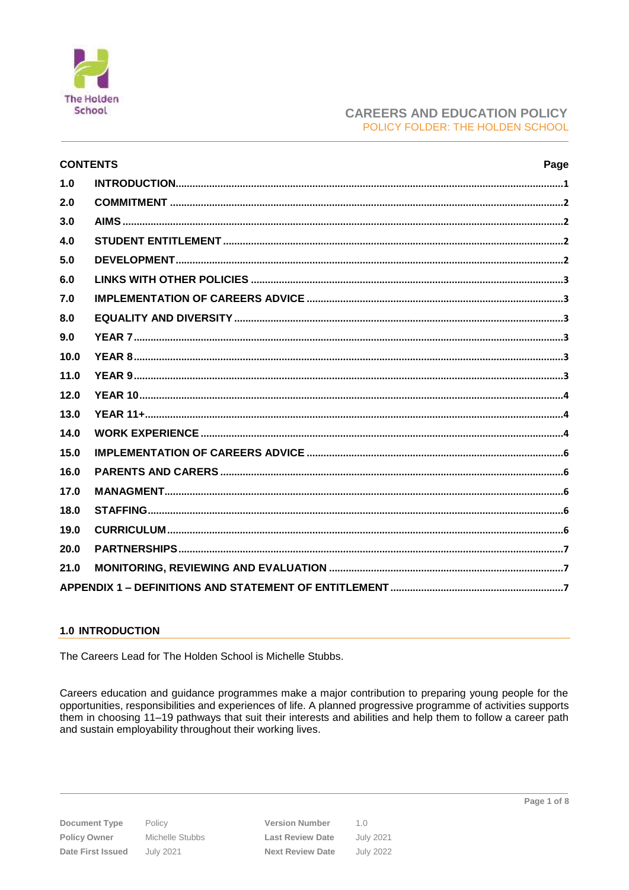

# **CAREERS AND EDUCATION POLICY** POLICY FOLDER: THE HOLDEN SCHOOL

| <b>CONTENTS</b><br>Page |  |  |  |  |
|-------------------------|--|--|--|--|
| 1.0                     |  |  |  |  |
| 2.0                     |  |  |  |  |
| 3.0                     |  |  |  |  |
| 4.0                     |  |  |  |  |
| 5.0                     |  |  |  |  |
| 6.0                     |  |  |  |  |
| 7.0                     |  |  |  |  |
| 8.0                     |  |  |  |  |
| 9.0                     |  |  |  |  |
| 10.0                    |  |  |  |  |
| 11.0                    |  |  |  |  |
| 12.0                    |  |  |  |  |
| 13.0                    |  |  |  |  |
| 14.0                    |  |  |  |  |
| 15.0                    |  |  |  |  |
| 16.0                    |  |  |  |  |
| 17.0                    |  |  |  |  |
| 18.0                    |  |  |  |  |
| 19.0                    |  |  |  |  |
| 20.0                    |  |  |  |  |
| 21.0                    |  |  |  |  |
|                         |  |  |  |  |

# <span id="page-0-0"></span>**1.0 INTRODUCTION**

The Careers Lead for The Holden School is Michelle Stubbs.

Careers education and guidance programmes make a major contribution to preparing young people for the opportunities, responsibilities and experiences of life. A planned progressive programme of activities supports them in choosing 11–19 pathways that suit their interests and abilities and help them to follow a career path and sustain employability throughout their working lives.

**Document Type** Policy Owner Date First Issued

Policy Michelle Stubbs **July 2021** 

**Version Number**  $1.0$ **Last Review Date July 2021 Next Review Date July 2022**  Page 1 of 8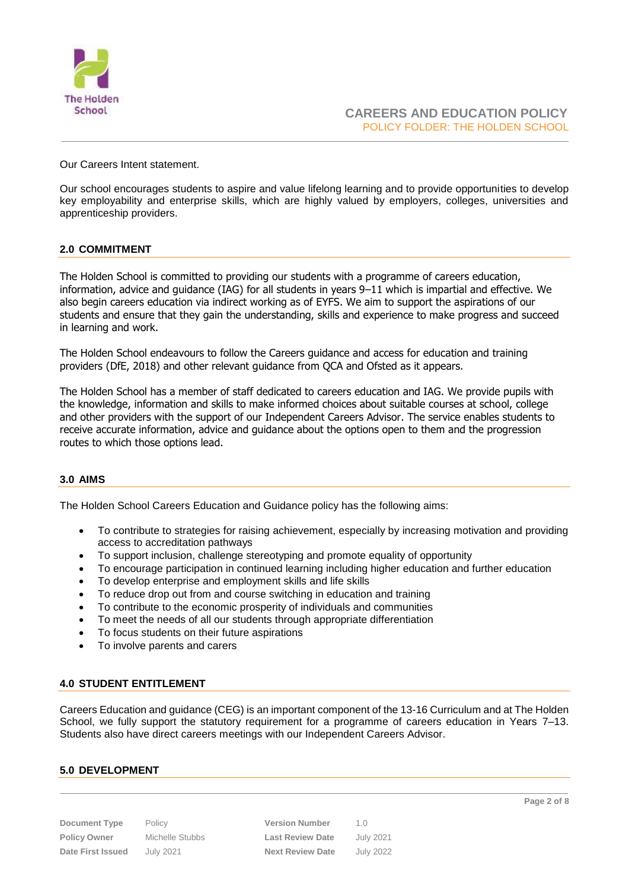

Our Careers Intent statement.

Our school encourages students to aspire and value lifelong learning and to provide opportunities to develop key employability and enterprise skills, which are highly valued by employers, colleges, universities and apprenticeship providers.

# <span id="page-1-0"></span>**2.0 COMMITMENT**

The Holden School is committed to providing our students with a programme of careers education, information, advice and guidance (IAG) for all students in years 9–11 which is impartial and effective. We also begin careers education via indirect working as of EYFS. We aim to support the aspirations of our students and ensure that they gain the understanding, skills and experience to make progress and succeed in learning and work.

The Holden School endeavours to follow the Careers guidance and access for education and training providers (DfE, 2018) and other relevant guidance from QCA and Ofsted as it appears.

The Holden School has a member of staff dedicated to careers education and IAG. We provide pupils with the knowledge, information and skills to make informed choices about suitable courses at school, college and other providers with the support of our Independent Careers Advisor. The service enables students to receive accurate information, advice and guidance about the options open to them and the progression routes to which those options lead.

# <span id="page-1-1"></span>**3.0 AIMS**

The Holden School Careers Education and Guidance policy has the following aims:

- To contribute to strategies for raising achievement, especially by increasing motivation and providing access to accreditation pathways
- To support inclusion, challenge stereotyping and promote equality of opportunity
- To encourage participation in continued learning including higher education and further education
- To develop enterprise and employment skills and life skills
- To reduce drop out from and course switching in education and training
- To contribute to the economic prosperity of individuals and communities
- To meet the needs of all our students through appropriate differentiation
- To focus students on their future aspirations
- To involve parents and carers

# <span id="page-1-2"></span>**4.0 STUDENT ENTITLEMENT**

Careers Education and guidance (CEG) is an important component of the 13-16 Curriculum and at The Holden School, we fully support the statutory requirement for a programme of careers education in Years 7–13. Students also have direct careers meetings with our Independent Careers Advisor.

### <span id="page-1-3"></span>**5.0 DEVELOPMENT**

**Document Type** Policy **Version Number** 1.0 **Policy Owner** Michelle Stubbs **Last Review Date** July 2021 **Date First Issued** July 2021 **Next Review Date** July 2022 **Page 2 of 8**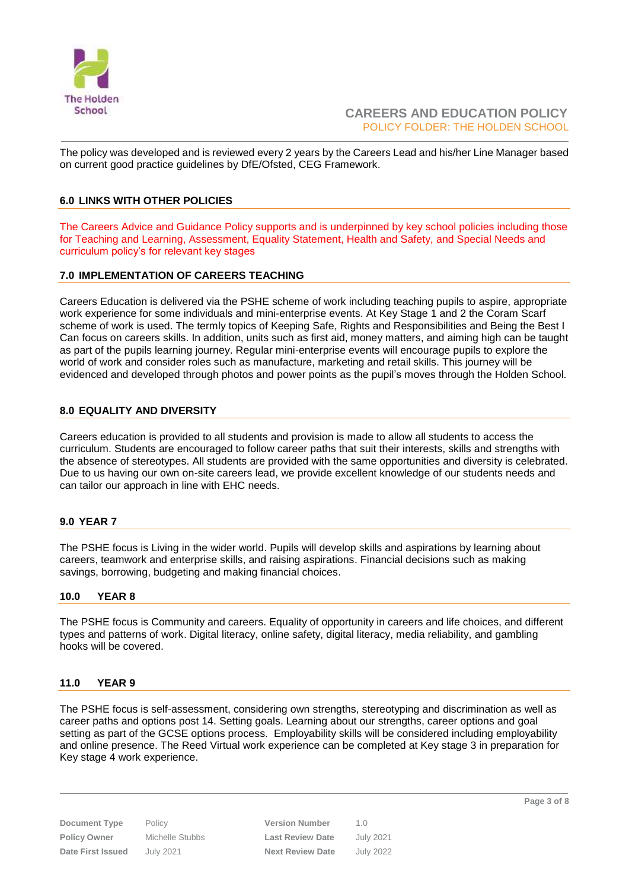

The policy was developed and is reviewed every 2 years by the Careers Lead and his/her Line Manager based on current good practice guidelines by DfE/Ofsted, CEG Framework.

# <span id="page-2-0"></span>**6.0 LINKS WITH OTHER POLICIES**

The Careers Advice and Guidance Policy supports and is underpinned by key school policies including those for Teaching and Learning, Assessment, Equality Statement, Health and Safety, and Special Needs and curriculum policy's for relevant key stages

# <span id="page-2-1"></span>**7.0 IMPLEMENTATION OF CAREERS TEACHING**

Careers Education is delivered via the PSHE scheme of work including teaching pupils to aspire, appropriate work experience for some individuals and mini-enterprise events. At Key Stage 1 and 2 the Coram Scarf scheme of work is used. The termly topics of Keeping Safe, Rights and Responsibilities and Being the Best I Can focus on careers skills. In addition, units such as first aid, money matters, and aiming high can be taught as part of the pupils learning journey. Regular mini-enterprise events will encourage pupils to explore the world of work and consider roles such as manufacture, marketing and retail skills. This journey will be evidenced and developed through photos and power points as the pupil's moves through the Holden School.

# <span id="page-2-2"></span>**8.0 EQUALITY AND DIVERSITY**

Careers education is provided to all students and provision is made to allow all students to access the curriculum. Students are encouraged to follow career paths that suit their interests, skills and strengths with the absence of stereotypes. All students are provided with the same opportunities and diversity is celebrated. Due to us having our own on-site careers lead, we provide excellent knowledge of our students needs and can tailor our approach in line with EHC needs.

# <span id="page-2-3"></span>**9.0 YEAR 7**

The PSHE focus is Living in the wider world. Pupils will develop skills and aspirations by learning about careers, teamwork and enterprise skills, and raising aspirations. Financial decisions such as making savings, borrowing, budgeting and making financial choices.

# <span id="page-2-4"></span>**10.0 YEAR 8**

The PSHE focus is Community and careers. Equality of opportunity in careers and life choices, and different types and patterns of work. Digital literacy, online safety, digital literacy, media reliability, and gambling hooks will be covered.

# <span id="page-2-5"></span>**11.0 YEAR 9**

The PSHE focus is self-assessment, considering own strengths, stereotyping and discrimination as well as career paths and options post 14. Setting goals. Learning about our strengths, career options and goal setting as part of the GCSE options process. Employability skills will be considered including employability and online presence. The Reed Virtual work experience can be completed at Key stage 3 in preparation for Key stage 4 work experience.

**Document Type** Policy **Version Number** 1.0 **Policy Owner** Michelle Stubbs **Last Review Date** July 2021 **Date First Issued** July 2021 **Next Review Date** July 2022 **Page 3 of 8**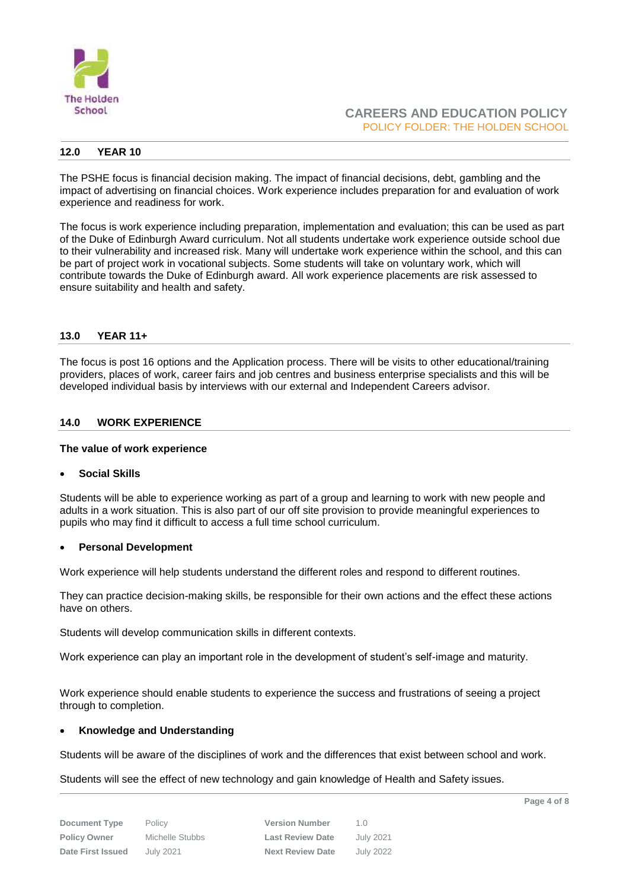

## <span id="page-3-0"></span>**12.0 YEAR 10**

The PSHE focus is financial decision making. The impact of financial decisions, debt, gambling and the impact of advertising on financial choices. Work experience includes preparation for and evaluation of work experience and readiness for work.

The focus is work experience including preparation, implementation and evaluation; this can be used as part of the Duke of Edinburgh Award curriculum. Not all students undertake work experience outside school due to their vulnerability and increased risk. Many will undertake work experience within the school, and this can be part of project work in vocational subjects. Some students will take on voluntary work, which will contribute towards the Duke of Edinburgh award. All work experience placements are risk assessed to ensure suitability and health and safety.

## <span id="page-3-1"></span>**13.0 YEAR 11+**

The focus is post 16 options and the Application process. There will be visits to other educational/training providers, places of work, career fairs and job centres and business enterprise specialists and this will be developed individual basis by interviews with our external and Independent Careers advisor.

## <span id="page-3-2"></span>**14.0 WORK EXPERIENCE**

### **The value of work experience**

### **Social Skills**

Students will be able to experience working as part of a group and learning to work with new people and adults in a work situation. This is also part of our off site provision to provide meaningful experiences to pupils who may find it difficult to access a full time school curriculum.

### **Personal Development**

Work experience will help students understand the different roles and respond to different routines.

They can practice decision-making skills, be responsible for their own actions and the effect these actions have on others.

Students will develop communication skills in different contexts.

Work experience can play an important role in the development of student's self-image and maturity.

Work experience should enable students to experience the success and frustrations of seeing a project through to completion.

### **Knowledge and Understanding**

Students will be aware of the disciplines of work and the differences that exist between school and work.

Students will see the effect of new technology and gain knowledge of Health and Safety issues.

| Document Type       | Policy          | <b>Version Number</b>   | 1 O              |
|---------------------|-----------------|-------------------------|------------------|
| <b>Policy Owner</b> | Michelle Stubbs | <b>Last Review Date</b> | July 2021        |
| Date First Issued   | July 2021       | <b>Next Review Date</b> | <b>July 2022</b> |

| <b>Version Number</b>   | 1 N              |
|-------------------------|------------------|
| <b>Last Review Date</b> | <b>July 2021</b> |
| <b>Next Review Date</b> | <b>July 2022</b> |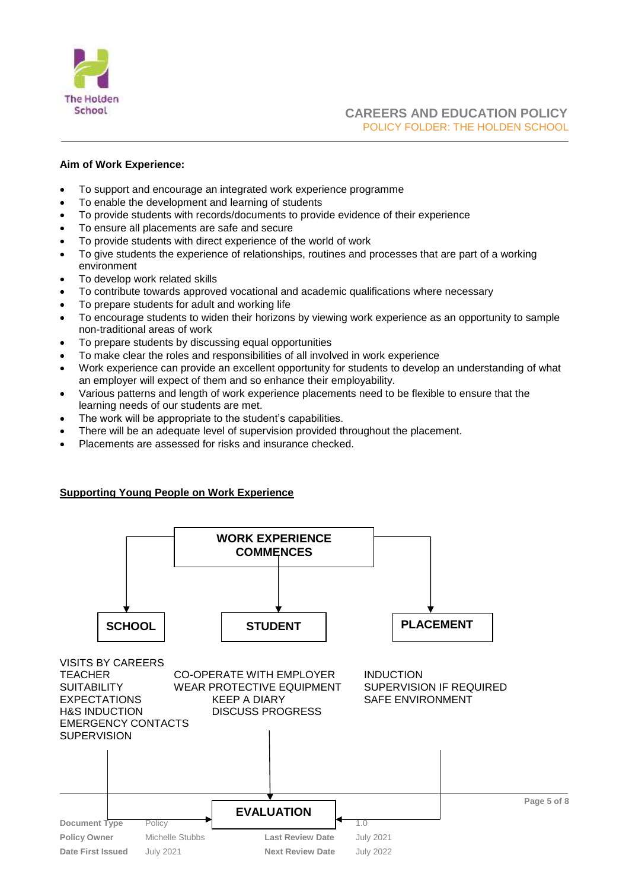

# **Aim of Work Experience:**

- To support and encourage an integrated work experience programme
- To enable the development and learning of students
- To provide students with records/documents to provide evidence of their experience
- To ensure all placements are safe and secure
- To provide students with direct experience of the world of work
- To give students the experience of relationships, routines and processes that are part of a working environment
- To develop work related skills
- To contribute towards approved vocational and academic qualifications where necessary
- To prepare students for adult and working life
- To encourage students to widen their horizons by viewing work experience as an opportunity to sample non-traditional areas of work
- To prepare students by discussing equal opportunities
- To make clear the roles and responsibilities of all involved in work experience
- Work experience can provide an excellent opportunity for students to develop an understanding of what an employer will expect of them and so enhance their employability.
- Various patterns and length of work experience placements need to be flexible to ensure that the learning needs of our students are met.
- The work will be appropriate to the student's capabilities.
- There will be an adequate level of supervision provided throughout the placement.
- Placements are assessed for risks and insurance checked.

# **Supporting Young People on Work Experience**

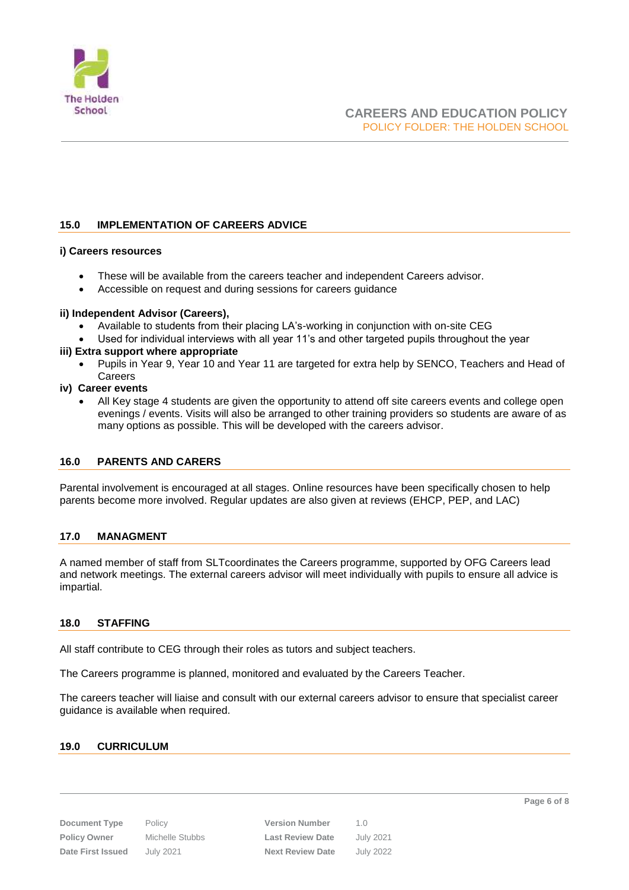

# <span id="page-5-0"></span>**15.0 IMPLEMENTATION OF CAREERS ADVICE**

## **i) Careers resources**

- These will be available from the careers teacher and independent Careers advisor.
- Accessible on request and during sessions for careers guidance

## **ii) Independent Advisor (Careers),**

- Available to students from their placing LA's-working in conjunction with on-site CEG
- Used for individual interviews with all year 11's and other targeted pupils throughout the year

## **iii) Extra support where appropriate**

 Pupils in Year 9, Year 10 and Year 11 are targeted for extra help by SENCO, Teachers and Head of **Careers** 

### **iv) Career events**

 All Key stage 4 students are given the opportunity to attend off site careers events and college open evenings / events. Visits will also be arranged to other training providers so students are aware of as many options as possible. This will be developed with the careers advisor.

# <span id="page-5-1"></span>**16.0 PARENTS AND CARERS**

Parental involvement is encouraged at all stages. Online resources have been specifically chosen to help parents become more involved. Regular updates are also given at reviews (EHCP, PEP, and LAC)

# <span id="page-5-2"></span>**17.0 MANAGMENT**

A named member of staff from SLTcoordinates the Careers programme, supported by OFG Careers lead and network meetings. The external careers advisor will meet individually with pupils to ensure all advice is impartial.

# <span id="page-5-3"></span>**18.0 STAFFING**

All staff contribute to CEG through their roles as tutors and subject teachers.

The Careers programme is planned, monitored and evaluated by the Careers Teacher.

The careers teacher will liaise and consult with our external careers advisor to ensure that specialist career guidance is available when required.

# <span id="page-5-4"></span>**19.0 CURRICULUM**

**Document Type** Policy **Version Number** 1.0 **Policy Owner** Michelle Stubbs **Last Review Date** July 2021 **Date First Issued** July 2021 **Next Review Date** July 2022

**Page 6 of 8**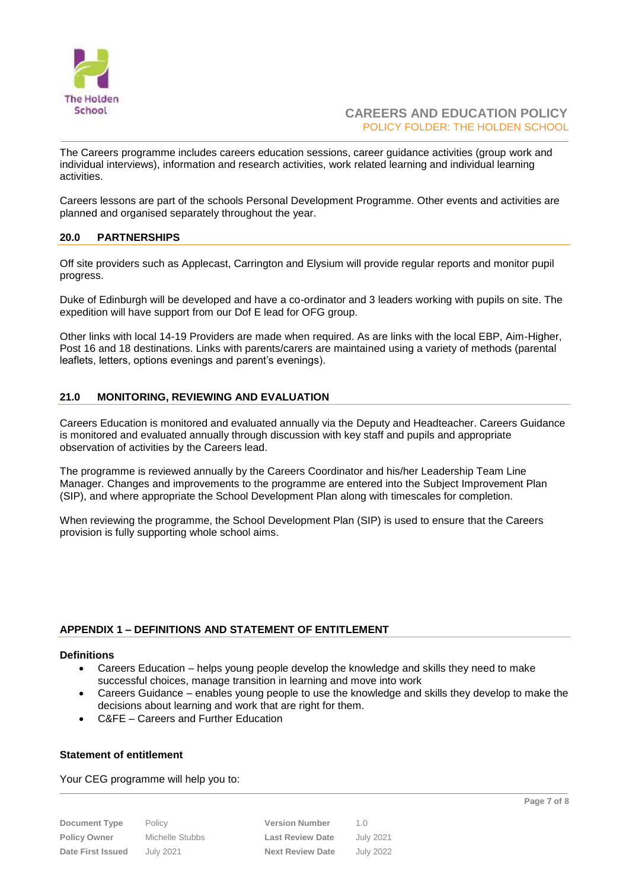

# **CAREERS AND EDUCATION POLICY** POLICY FOLDER: THE HOLDEN SCHOOL

The Careers programme includes careers education sessions, career guidance activities (group work and individual interviews), information and research activities, work related learning and individual learning activities.

Careers lessons are part of the schools Personal Development Programme. Other events and activities are planned and organised separately throughout the year.

## <span id="page-6-0"></span>**20.0 PARTNERSHIPS**

Off site providers such as Applecast, Carrington and Elysium will provide regular reports and monitor pupil progress.

Duke of Edinburgh will be developed and have a co-ordinator and 3 leaders working with pupils on site. The expedition will have support from our Dof E lead for OFG group.

Other links with local 14-19 Providers are made when required. As are links with the local EBP, Aim-Higher, Post 16 and 18 destinations. Links with parents/carers are maintained using a variety of methods (parental leaflets, letters, options evenings and parent's evenings).

## <span id="page-6-1"></span>**21.0 MONITORING, REVIEWING AND EVALUATION**

Careers Education is monitored and evaluated annually via the Deputy and Headteacher. Careers Guidance is monitored and evaluated annually through discussion with key staff and pupils and appropriate observation of activities by the Careers lead.

The programme is reviewed annually by the Careers Coordinator and his/her Leadership Team Line Manager. Changes and improvements to the programme are entered into the Subject Improvement Plan (SIP), and where appropriate the School Development Plan along with timescales for completion.

When reviewing the programme, the School Development Plan (SIP) is used to ensure that the Careers provision is fully supporting whole school aims.

### <span id="page-6-2"></span>**APPENDIX 1 – DEFINITIONS AND STATEMENT OF ENTITLEMENT**

### **Definitions**

- Careers Education helps young people develop the knowledge and skills they need to make successful choices, manage transition in learning and move into work
- Careers Guidance enables young people to use the knowledge and skills they develop to make the decisions about learning and work that are right for them.
- C&FE Careers and Further Education

### **Statement of entitlement**

### Your CEG programme will help you to:

| <b>Document Type</b>     |  |  |  |
|--------------------------|--|--|--|
| <b>Policy Owner</b>      |  |  |  |
| <b>Date First Issued</b> |  |  |  |

| Document Type       | Policy          | <b>Version Number</b>   | 1 N              |
|---------------------|-----------------|-------------------------|------------------|
| <b>Policy Owner</b> | Michelle Stubbs | <b>Last Review Date</b> | July 2021        |
| Date First Issued   | July 2021       | <b>Next Review Date</b> | <b>July 2022</b> |

**Page 7 of 8**